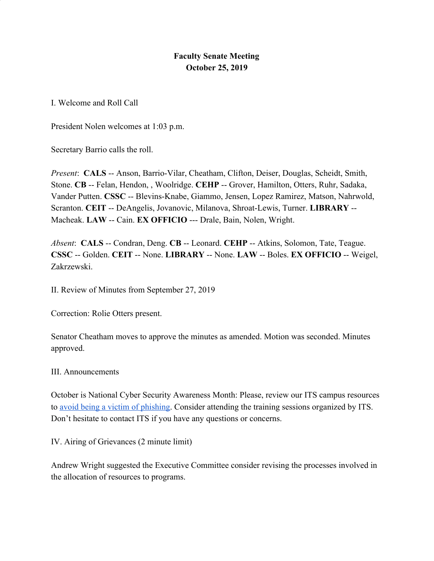## **Faculty Senate Meeting October 25, 2019**

I. Welcome and Roll Call

President Nolen welcomes at 1:03 p.m.

Secretary Barrio calls the roll.

*Present*: **CALS** -- Anson, Barrio-Vilar, Cheatham, Clifton, Deiser, Douglas, Scheidt, Smith, Stone. **CB** -- Felan, Hendon, , Woolridge. **CEHP** -- Grover, Hamilton, Otters, Ruhr, Sadaka, Vander Putten. **CSSC** -- Blevins-Knabe, Giammo, Jensen, Lopez Ramirez, Matson, Nahrwold, Scranton. **CEIT** -- DeAngelis, Jovanovic, Milanova, Shroat-Lewis, Turner. **LIBRARY** -- Macheak. **LAW** -- Cain. **EX OFFICIO** --- Drale, Bain, Nolen, Wright.

*Absent*: **CALS** -- Condran, Deng. **CB** -- Leonard. **CEHP** -- Atkins, Solomon, Tate, Teague. **CSSC** -- Golden. **CEIT** -- None. **LIBRARY** -- None. **LAW** -- Boles. **EX OFFICIO** -- Weigel, Zakrzewski.

II. Review of Minutes from September 27, 2019

Correction: Rolie Otters present.

Senator Cheatham moves to approve the minutes as amended. Motion was seconded. Minutes approved.

III. Announcements

October is National Cyber Security Awareness Month: Please, review our ITS campus resources to [avoid being a victim of phishing.](https://ualr.edu/itservices/2016/10/07/dont-be-a-victim-of-phishing/) Consider attending the training sessions organized by ITS. Don't hesitate to contact ITS if you have any questions or concerns.

IV. Airing of Grievances (2 minute limit)

Andrew Wright suggested the Executive Committee consider revising the processes involved in the allocation of resources to programs.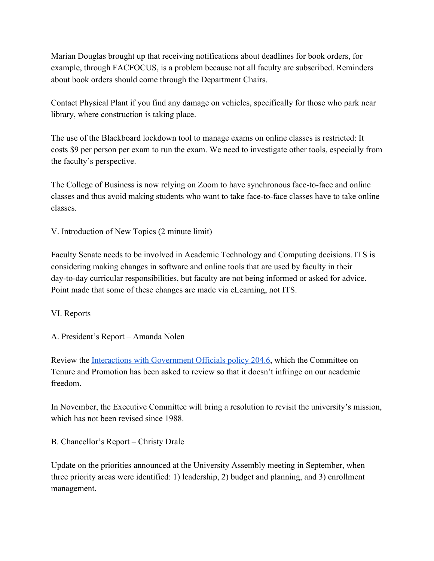Marian Douglas brought up that receiving notifications about deadlines for book orders, for example, through FACFOCUS, is a problem because not all faculty are subscribed. Reminders about book orders should come through the Department Chairs.

Contact Physical Plant if you find any damage on vehicles, specifically for those who park near library, where construction is taking place.

The use of the Blackboard lockdown tool to manage exams on online classes is restricted: It costs \$9 per person per exam to run the exam. We need to investigate other tools, especially from the faculty's perspective.

The College of Business is now relying on Zoom to have synchronous face-to-face and online classes and thus avoid making students who want to take face-to-face classes have to take online classes.

V. Introduction of New Topics (2 minute limit)

Faculty Senate needs to be involved in Academic Technology and Computing decisions. ITS is considering making changes in software and online tools that are used by faculty in their day-to-day curricular responsibilities, but faculty are not being informed or asked for advice. Point made that some of these changes are made via eLearning, not ITS.

VI. Reports

A. President's Report – Amanda Nolen

Review the [Interactions with Government Officials policy 204.6](https://ualr.edu/policy/home/admin/interactions-with-government-officials-204-6/), which the Committee on Tenure and Promotion has been asked to review so that it doesn't infringe on our academic freedom.

In November, the Executive Committee will bring a resolution to revisit the university's mission, which has not been revised since 1988.

B. Chancellor's Report – Christy Drale

Update on the priorities announced at the University Assembly meeting in September, when three priority areas were identified: 1) leadership, 2) budget and planning, and 3) enrollment management.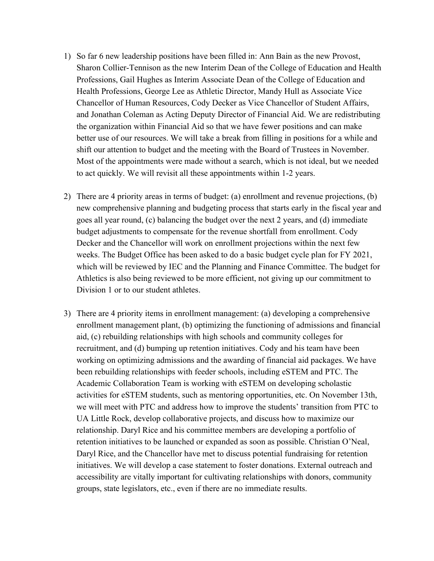- 1) So far 6 new leadership positions have been filled in: Ann Bain as the new Provost, Sharon Collier-Tennison as the new Interim Dean of the College of Education and Health Professions, Gail Hughes as Interim Associate Dean of the College of Education and Health Professions, George Lee as Athletic Director, Mandy Hull as Associate Vice Chancellor of Human Resources, Cody Decker as Vice Chancellor of Student Affairs, and Jonathan Coleman as Acting Deputy Director of Financial Aid. We are redistributing the organization within Financial Aid so that we have fewer positions and can make better use of our resources. We will take a break from filling in positions for a while and shift our attention to budget and the meeting with the Board of Trustees in November. Most of the appointments were made without a search, which is not ideal, but we needed to act quickly. We will revisit all these appointments within 1-2 years.
- 2) There are 4 priority areas in terms of budget: (a) enrollment and revenue projections, (b) new comprehensive planning and budgeting process that starts early in the fiscal year and goes all year round, (c) balancing the budget over the next 2 years, and (d) immediate budget adjustments to compensate for the revenue shortfall from enrollment. Cody Decker and the Chancellor will work on enrollment projections within the next few weeks. The Budget Office has been asked to do a basic budget cycle plan for FY 2021, which will be reviewed by IEC and the Planning and Finance Committee. The budget for Athletics is also being reviewed to be more efficient, not giving up our commitment to Division 1 or to our student athletes.
- 3) There are 4 priority items in enrollment management: (a) developing a comprehensive enrollment management plant, (b) optimizing the functioning of admissions and financial aid, (c) rebuilding relationships with high schools and community colleges for recruitment, and (d) bumping up retention initiatives. Cody and his team have been working on optimizing admissions and the awarding of financial aid packages. We have been rebuilding relationships with feeder schools, including eSTEM and PTC. The Academic Collaboration Team is working with eSTEM on developing scholastic activities for eSTEM students, such as mentoring opportunities, etc. On November 13th, we will meet with PTC and address how to improve the students' transition from PTC to UA Little Rock, develop collaborative projects, and discuss how to maximize our relationship. Daryl Rice and his committee members are developing a portfolio of retention initiatives to be launched or expanded as soon as possible. Christian O'Neal, Daryl Rice, and the Chancellor have met to discuss potential fundraising for retention initiatives. We will develop a case statement to foster donations. External outreach and accessibility are vitally important for cultivating relationships with donors, community groups, state legislators, etc., even if there are no immediate results.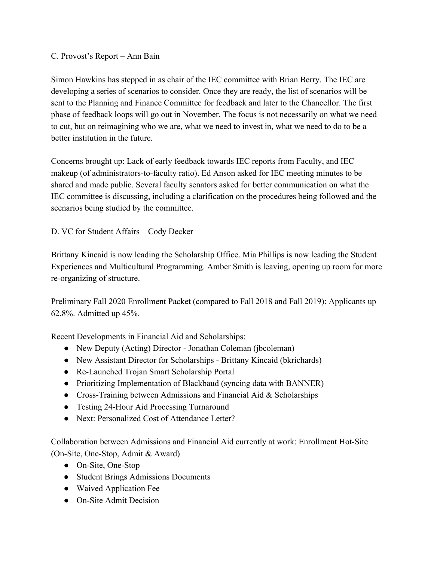C. Provost's Report – Ann Bain

Simon Hawkins has stepped in as chair of the IEC committee with Brian Berry. The IEC are developing a series of scenarios to consider. Once they are ready, the list of scenarios will be sent to the Planning and Finance Committee for feedback and later to the Chancellor. The first phase of feedback loops will go out in November. The focus is not necessarily on what we need to cut, but on reimagining who we are, what we need to invest in, what we need to do to be a better institution in the future.

Concerns brought up: Lack of early feedback towards IEC reports from Faculty, and IEC makeup (of administrators-to-faculty ratio). Ed Anson asked for IEC meeting minutes to be shared and made public. Several faculty senators asked for better communication on what the IEC committee is discussing, including a clarification on the procedures being followed and the scenarios being studied by the committee.

D. VC for Student Affairs – Cody Decker

Brittany Kincaid is now leading the Scholarship Office. Mia Phillips is now leading the Student Experiences and Multicultural Programming. Amber Smith is leaving, opening up room for more re-organizing of structure.

Preliminary Fall 2020 Enrollment Packet (compared to Fall 2018 and Fall 2019): Applicants up 62.8%. Admitted up 45%.

Recent Developments in Financial Aid and Scholarships:

- New Deputy (Acting) Director Jonathan Coleman (jbcoleman)
- New Assistant Director for Scholarships Brittany Kincaid (bkrichards)
- Re-Launched Trojan Smart Scholarship Portal
- Prioritizing Implementation of Blackbaud (syncing data with BANNER)
- Cross-Training between Admissions and Financial Aid & Scholarships
- Testing 24-Hour Aid Processing Turnaround
- Next: Personalized Cost of Attendance Letter?

Collaboration between Admissions and Financial Aid currently at work: Enrollment Hot-Site (On-Site, One-Stop, Admit & Award)

- On-Site, One-Stop
- Student Brings Admissions Documents
- Waived Application Fee
- On-Site Admit Decision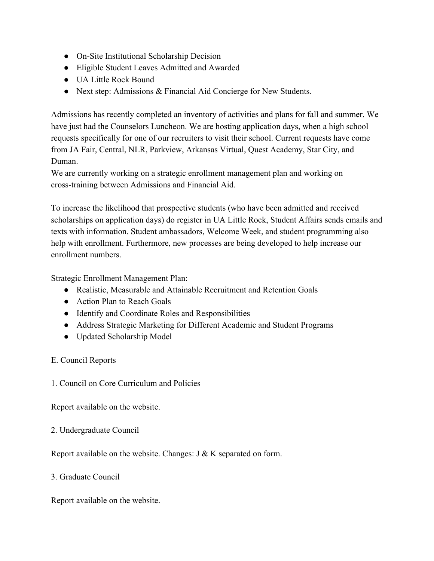- On-Site Institutional Scholarship Decision
- Eligible Student Leaves Admitted and Awarded
- UA Little Rock Bound
- Next step: Admissions & Financial Aid Concierge for New Students.

Admissions has recently completed an inventory of activities and plans for fall and summer. We have just had the Counselors Luncheon. We are hosting application days, when a high school requests specifically for one of our recruiters to visit their school. Current requests have come from JA Fair, Central, NLR, Parkview, Arkansas Virtual, Quest Academy, Star City, and Duman.

We are currently working on a strategic enrollment management plan and working on cross-training between Admissions and Financial Aid.

To increase the likelihood that prospective students (who have been admitted and received scholarships on application days) do register in UA Little Rock, Student Affairs sends emails and texts with information. Student ambassadors, Welcome Week, and student programming also help with enrollment. Furthermore, new processes are being developed to help increase our enrollment numbers.

Strategic Enrollment Management Plan:

- Realistic, Measurable and Attainable Recruitment and Retention Goals
- Action Plan to Reach Goals
- Identify and Coordinate Roles and Responsibilities
- Address Strategic Marketing for Different Academic and Student Programs
- Updated Scholarship Model

E. Council Reports

1. Council on Core Curriculum and Policies

Report available on the website.

2. Undergraduate Council

Report available on the website. Changes: J & K separated on form.

3. Graduate Council

Report available on the website.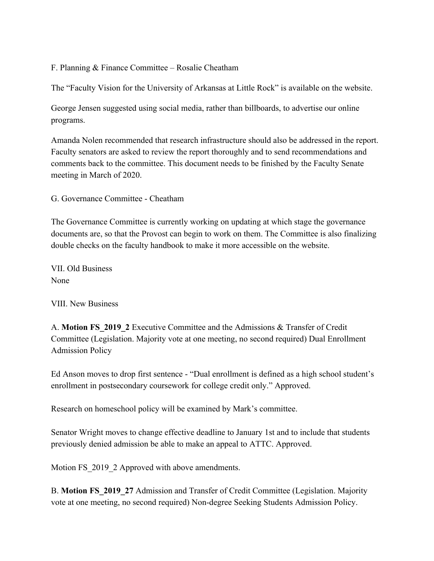F. Planning & Finance Committee – Rosalie Cheatham

The "Faculty Vision for the University of Arkansas at Little Rock" is available on the website.

George Jensen suggested using social media, rather than billboards, to advertise our online programs.

Amanda Nolen recommended that research infrastructure should also be addressed in the report. Faculty senators are asked to review the report thoroughly and to send recommendations and comments back to the committee. This document needs to be finished by the Faculty Senate meeting in March of 2020.

G. Governance Committee - Cheatham

The Governance Committee is currently working on updating at which stage the governance documents are, so that the Provost can begin to work on them. The Committee is also finalizing double checks on the faculty handbook to make it more accessible on the website.

VII. Old Business None

VIII. New Business

A. **Motion FS\_2019\_2** Executive Committee and the Admissions & Transfer of Credit Committee (Legislation. Majority vote at one meeting, no second required) Dual Enrollment Admission Policy

Ed Anson moves to drop first sentence - "Dual enrollment is defined as a high school student's enrollment in postsecondary coursework for college credit only." Approved.

Research on homeschool policy will be examined by Mark's committee.

Senator Wright moves to change effective deadline to January 1st and to include that students previously denied admission be able to make an appeal to ATTC. Approved.

Motion FS 2019 2 Approved with above amendments.

B. **Motion FS\_2019\_27** Admission and Transfer of Credit Committee (Legislation. Majority vote at one meeting, no second required) Non-degree Seeking Students Admission Policy.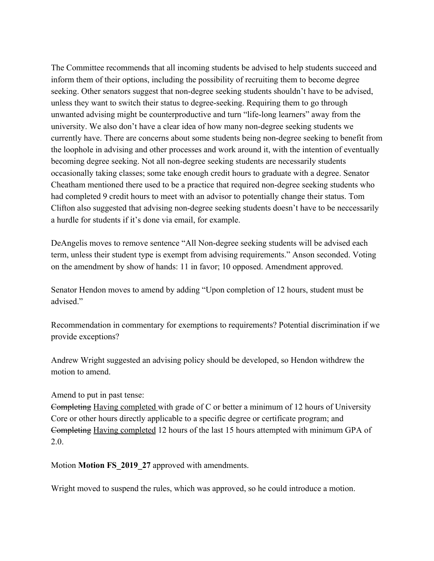The Committee recommends that all incoming students be advised to help students succeed and inform them of their options, including the possibility of recruiting them to become degree seeking. Other senators suggest that non-degree seeking students shouldn't have to be advised, unless they want to switch their status to degree-seeking. Requiring them to go through unwanted advising might be counterproductive and turn "life-long learners" away from the university. We also don't have a clear idea of how many non-degree seeking students we currently have. There are concerns about some students being non-degree seeking to benefit from the loophole in advising and other processes and work around it, with the intention of eventually becoming degree seeking. Not all non-degree seeking students are necessarily students occasionally taking classes; some take enough credit hours to graduate with a degree. Senator Cheatham mentioned there used to be a practice that required non-degree seeking students who had completed 9 credit hours to meet with an advisor to potentially change their status. Tom Clifton also suggested that advising non-degree seeking students doesn't have to be neccessarily a hurdle for students if it's done via email, for example.

DeAngelis moves to remove sentence "All Non-degree seeking students will be advised each term, unless their student type is exempt from advising requirements." Anson seconded. Voting on the amendment by show of hands: 11 in favor; 10 opposed. Amendment approved.

Senator Hendon moves to amend by adding "Upon completion of 12 hours, student must be advised."

Recommendation in commentary for exemptions to requirements? Potential discrimination if we provide exceptions?

Andrew Wright suggested an advising policy should be developed, so Hendon withdrew the motion to amend.

Amend to put in past tense:

Completing Having completed with grade of C or better a minimum of 12 hours of University Core or other hours directly applicable to a specific degree or certificate program; and Completing Having completed 12 hours of the last 15 hours attempted with minimum GPA of 2.0.

Motion **Motion FS\_2019\_27** approved with amendments.

Wright moved to suspend the rules, which was approved, so he could introduce a motion.